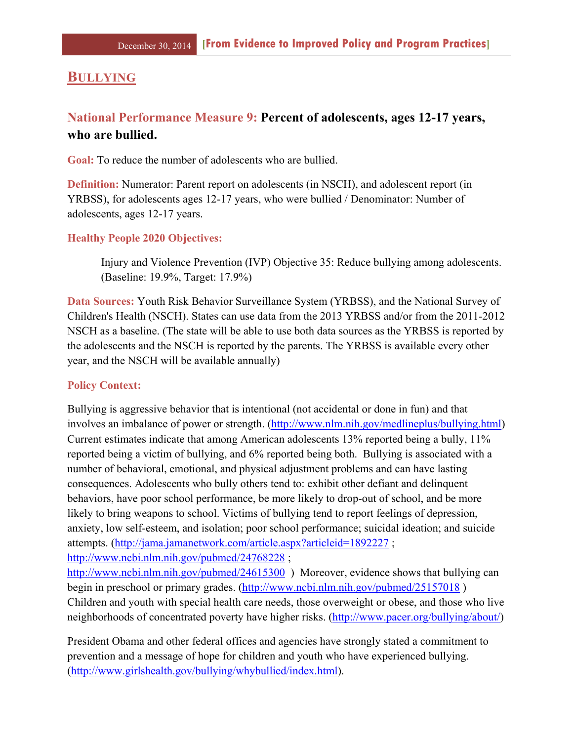## **BULLYING**

# **National Performance Measure 9: Percent of adolescents, ages 12-17 years, who are bullied.**

**Goal:** To reduce the number of adolescents who are bullied.

**Definition:** Numerator: Parent report on adolescents (in NSCH), and adolescent report (in YRBSS), for adolescents ages 12-17 years, who were bullied / Denominator: Number of adolescents, ages 12-17 years.

#### **Healthy People 2020 Objectives:**

Injury and Violence Prevention (IVP) Objective 35: Reduce bullying among adolescents. (Baseline: 19.9%, Target: 17.9%)

**Data Sources:** Youth Risk Behavior Surveillance System (YRBSS), and the National Survey of Children's Health (NSCH). States can use data from the 2013 YRBSS and/or from the 2011-2012 NSCH as a baseline. (The state will be able to use both data sources as the YRBSS is reported by the adolescents and the NSCH is reported by the parents. The YRBSS is available every other year, and the NSCH will be available annually)

#### **Policy Context:**

Bullying is aggressive behavior that is intentional (not accidental or done in fun) and that involves an imbalance of power or strength. (http://www.nlm.nih.gov/medlineplus/bullying.html) Current estimates indicate that among American adolescents 13% reported being a bully, 11% reported being a victim of bullying, and 6% reported being both. Bullying is associated with a number of behavioral, emotional, and physical adjustment problems and can have lasting consequences. Adolescents who bully others tend to: exhibit other defiant and delinquent behaviors, have poor school performance, be more likely to drop-out of school, and be more likely to bring weapons to school. Victims of bullying tend to report feelings of depression, anxiety, low self-esteem, and isolation; poor school performance; suicidal ideation; and suicide attempts. (http://jama.jamanetwork.com/article.aspx?articleid=1892227 ; http://www.ncbi.nlm.nih.gov/pubmed/24768228 ;

http://www.ncbi.nlm.nih.gov/pubmed/24615300) Moreover, evidence shows that bullying can begin in preschool or primary grades. (http://www.ncbi.nlm.nih.gov/pubmed/25157018 ) Children and youth with special health care needs, those overweight or obese, and those who live neighborhoods of concentrated poverty have higher risks. (http://www.pacer.org/bullying/about/)

President Obama and other federal offices and agencies have strongly stated a commitment to prevention and a message of hope for children and youth who have experienced bullying. (http://www.girlshealth.gov/bullying/whybullied/index.html).